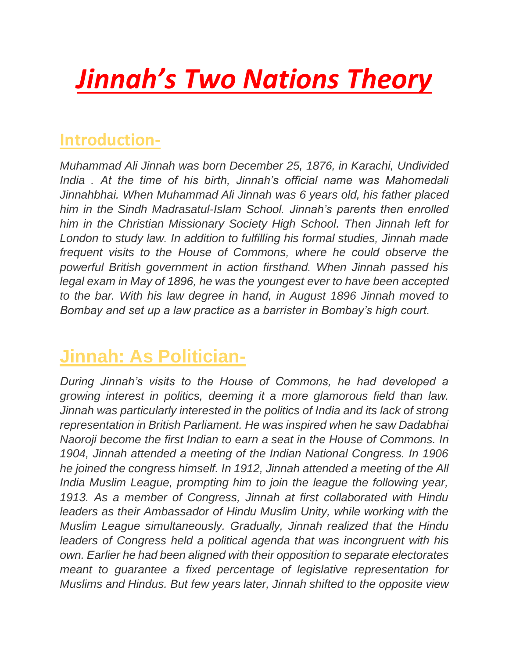# *Jinnah's Two Nations Theory*

#### **Introduction-**

*Muhammad Ali Jinnah was born December 25, 1876, in Karachi, Undivided India . At the time of his birth, Jinnah's official name was Mahomedali Jinnahbhai. When Muhammad Ali Jinnah was 6 years old, his father placed him in the Sindh Madrasatul-Islam School. Jinnah's parents then enrolled him in the Christian Missionary Society High School. Then Jinnah left for London to study law. In addition to fulfilling his formal studies, Jinnah made frequent visits to the House of Commons, where he could observe the powerful British government in action firsthand. When Jinnah passed his legal exam in May of 1896, he was the youngest ever to have been accepted to the bar. With his law degree in hand, in August 1896 Jinnah moved to Bombay and set up a law practice as a barrister in Bombay's high court.*

## **Jinnah: As Politician-**

*During Jinnah's visits to the House of Commons, he had developed a growing interest in politics, deeming it a more glamorous field than law. Jinnah was particularly interested in the politics of India and its lack of strong representation in British Parliament. He was inspired when he saw Dadabhai Naoroji become the first Indian to earn a seat in the House of Commons. In*  1904, Jinnah attended a meeting of the Indian National Congress. In 1906 *he joined the congress himself. In 1912, Jinnah attended a meeting of the All India Muslim League, prompting him to join the league the following year, 1913. As a member of Congress, Jinnah at first collaborated with Hindu*  leaders as their Ambassador of Hindu Muslim Unity, while working with the *Muslim League simultaneously. Gradually, Jinnah realized that the Hindu leaders of Congress held a political agenda that was incongruent with his own. Earlier he had been aligned with their opposition to separate electorates meant to guarantee a fixed percentage of legislative representation for Muslims and Hindus. But few years later, Jinnah shifted to the opposite view*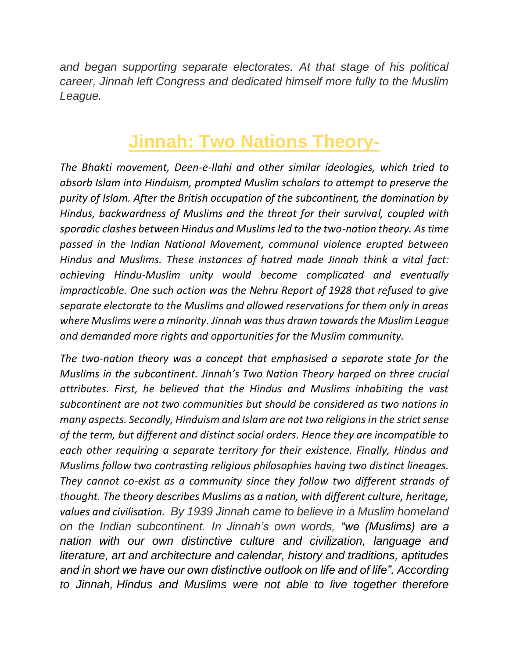*and began supporting separate electorates. At that stage of his political career, Jinnah left Congress and dedicated himself more fully to the Muslim League.*

# **Jinnah: Two Nations Theory-**

*The Bhakti movement, Deen-e-Ilahi and other similar ideologies, which tried to absorb Islam into Hinduism, prompted Muslim scholars to attempt to preserve the purity of Islam. After the British occupation of the subcontinent, the domination by Hindus, backwardness of Muslims and the threat for their survival, coupled with sporadic clashes between Hindus and Muslims led to the two-nation theory. As time passed in the Indian National Movement, communal violence erupted between Hindus and Muslims. These instances of hatred made Jinnah think a vital fact: achieving Hindu-Muslim unity would become complicated and eventually impracticable. One such action was the Nehru Report of 1928 that refused to give separate electorate to the Muslims and allowed reservations for them only in areas where Muslims were a minority. Jinnah was thus drawn towards the Muslim League and demanded more rights and opportunities for the Muslim community.*

*The two-nation theory was a concept that emphasised a separate state for the Muslims in the subcontinent. Jinnah's Two Nation Theory harped on three crucial attributes. First, he believed that the Hindus and Muslims inhabiting the vast subcontinent are not two communities but should be considered as two nations in many aspects. Secondly, Hinduism and Islam are not two religions in the strict sense of the term, but different and distinct social orders. Hence they are incompatible to each other requiring a separate territory for their existence. Finally, Hindus and Muslims follow two contrasting religious philosophies having two distinct lineages. They cannot co-exist as a community since they follow two different strands of thought. The theory describes Muslims as a nation, with different culture, heritage, values and civilisation. By 1939 Jinnah came to believe in a Muslim homeland on the Indian subcontinent. In Jinnah's own words, "we (Muslims) are a nation with our own distinctive culture and civilization, language and literature, art and architecture and calendar, history and traditions, aptitudes and in short we have our own distinctive outlook on life and of life". According to Jinnah, Hindus and Muslims were not able to live together therefore*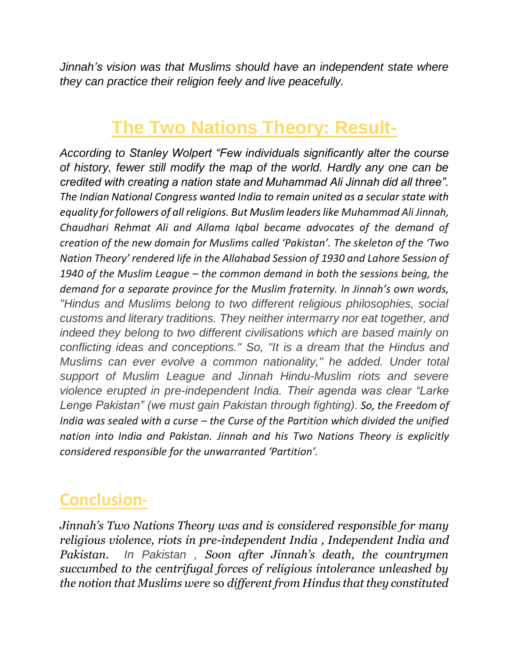*Jinnah's vision was that Muslims should have an independent state where they can practice their religion feely and live peacefully.*

# **The Two Nations Theory: Result-**

*According to Stanley Wolpert "Few individuals significantly alter the course of history, fewer still modify the map of the world. Hardly any one can be credited with creating a nation state and Muhammad Ali Jinnah did all three". The Indian National Congress wanted India to remain united as a secular state with equality for followers of all religions. But Muslim leaders like Muhammad Ali Jinnah, Chaudhari Rehmat Ali and Allama Iqbal became advocates of the demand of creation of the new domain for Muslims called 'Pakistan'. The skeleton of the 'Two Nation Theory' rendered life in the Allahabad Session of 1930 and Lahore Session of 1940 of the Muslim League – the common demand in both the sessions being, the demand for a separate province for the Muslim fraternity. In Jinnah's own words, "Hindus and Muslims belong to two different religious philosophies, social customs and literary traditions. They neither intermarry nor eat together, and indeed they belong to two different civilisations which are based mainly on conflicting ideas and conceptions." So, "It is a dream that the Hindus and Muslims can ever evolve a common nationality," he added. Under total support of Muslim League and Jinnah Hindu-Muslim riots and severe violence erupted in pre-independent India. Their agenda was clear "Larke Lenge Pakistan" (we must gain Pakistan through fighting). So, the Freedom of India was sealed with a curse – the Curse of the Partition which divided the unified nation into India and Pakistan. Jinnah and his Two Nations Theory is explicitly considered responsible for the unwarranted 'Partition'.*

### **Conclusion-**

*Jinnah's Two Nations Theory was and is considered responsible for many religious violence, riots in pre-independent India , Independent India and Pakistan. In Pakistan , Soon after Jinnah's death, the countrymen succumbed to the centrifugal forces of religious intolerance unleashed by the notion that Muslims were* so *different from Hindus that they constituted*